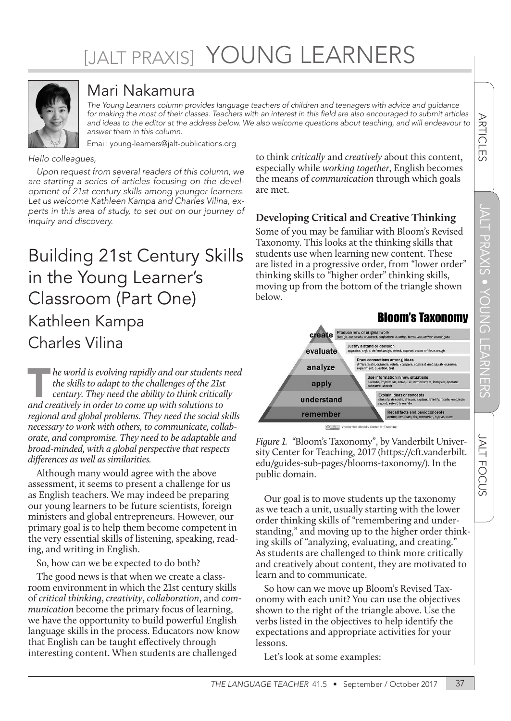# [JALT PRAXIS] YOUNG LEARNERS



### Mari Nakamura

*The Young Learners column provides language teachers of children and teenagers with advice and guidance*  for making the most of their classes. Teachers with an interest in this field are also encouraged to submit articles and ideas to the editor at the address below. We also welcome questions about teaching, and will endeavour to *answer them in this column.*

Email: young-learners@jalt-publications.org

*Hello colleagues,* 

*Upon request from several readers of this column, we are starting a series of articles focusing on the development of 21st century skills among younger learners. Let us welcome Kathleen Kampa and Charles Vilina, experts in this area of study, to set out on our journey of inquiry and discovery.* 

## Building 21st Century Skills in the Young Learner's Classroom (Part One) Kathleen Kampa Charles Vilina

**The world is evolving rapidly and our students need**<br>
the skills to adapt to the challenges of the 21st<br>
century. They need the ability to think critically<br>
and creatively in order to come up with solutions to *the skills to adapt to the challenges of the 21st century. They need the ability to think critically regional and global problems. They need the social skills necessary to work with others, to communicate, collaborate, and compromise. They need to be adaptable and broad-minded, with a global perspective that respects differences as well as similarities.* 

Although many would agree with the above assessment, it seems to present a challenge for us as English teachers. We may indeed be preparing our young learners to be future scientists, foreign ministers and global entrepreneurs. However, our primary goal is to help them become competent in the very essential skills of listening, speaking, reading, and writing in English.

So, how can we be expected to do both?

The good news is that when we create a classroom environment in which the 21st century skills of *critical thinking*, *creativity*, *collaboration*, and *communication* become the primary focus of learning, we have the opportunity to build powerful English language skills in the process. Educators now know that English can be taught effectively through interesting content. When students are challenged

to think *critically* and *creatively* about this content, especially while *working together*, English becomes the means of *communication* through which goals are met.

#### **Developing Critical and Creative Thinking**

Some of you may be familiar with Bloom's Revised Taxonomy. This looks at the thinking skills that students use when learning new content. These are listed in a progressive order, from "lower order" thinking skills to "higher order" thinking skills, moving up from the bottom of the triangle shown below.



*Figure 1. "*Bloom's Taxonomy", by Vanderbilt University Center for Teaching, 2017 ([https://cft.vanderbilt.](https://cft.vanderbilt.edu/guides-sub-pages/blooms-taxonomy/) [edu/guides-sub-pages/blooms-taxonomy/](https://cft.vanderbilt.edu/guides-sub-pages/blooms-taxonomy/)). In the public domain.

Our goal is to move students up the taxonomy as we teach a unit, usually starting with the lower order thinking skills of "remembering and understanding," and moving up to the higher order thinking skills of "analyzing, evaluating, and creating." As students are challenged to think more critically and creatively about content, they are motivated to learn and to communicate.

So how can we move up Bloom's Revised Taxonomy with each unit? You can use the objectives shown to the right of the triangle above. Use the verbs listed in the objectives to help identify the expectations and appropriate activities for your lessons.

Let's look at some examples:

JALT

**FOCUS** 

**ARTICLES**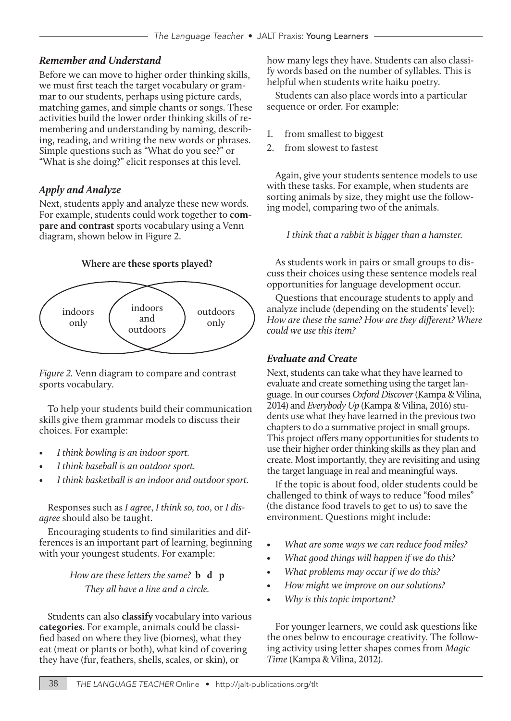#### *Remember and Understand*

Before we can move to higher order thinking skills, we must first teach the target vocabulary or grammar to our students, perhaps using picture cards, matching games, and simple chants or songs. These activities build the lower order thinking skills of remembering and understanding by naming, describing, reading, and writing the new words or phrases. Simple questions such as "What do you see?" or "What is she doing?" elicit responses at this level.

#### *Apply and Analyze*

Next, students apply and analyze these new words. For example, students could work together to **compare and contrast** sports vocabulary using a Venn diagram, shown below in Figure 2.

#### **Where are these sports played?**



*Figure 2.* Venn diagram to compare and contrast sports vocabulary.

To help your students build their communication skills give them grammar models to discuss their choices. For example:

- *• I think bowling is an indoor sport.*
- *• I think baseball is an outdoor sport.*
- *• I think basketball is an indoor and outdoor sport.*

Responses such as *I agree*, *I think so, too*, or *I disagree* should also be taught.

Encouraging students to find similarities and differences is an important part of learning, beginning with your youngest students. For example:

#### *How are these letters the same?* **b d p** *They all have a line and a circle.*

Students can also **classify** vocabulary into various **categories**. For example, animals could be classified based on where they live (biomes), what they eat (meat or plants or both), what kind of covering they have (fur, feathers, shells, scales, or skin), or

how many legs they have. Students can also classify words based on the number of syllables. This is helpful when students write haiku poetry.

Students can also place words into a particular sequence or order. For example:

- 1. from smallest to biggest
- 2. from slowest to fastest

Again, give your students sentence models to use with these tasks. For example, when students are sorting animals by size, they might use the following model, comparing two of the animals.

*I think that a rabbit is bigger than a hamster.*

As students work in pairs or small groups to discuss their choices using these sentence models real opportunities for language development occur.

Questions that encourage students to apply and analyze include (depending on the students' level): *How are these the same? How are they different? Where could we use this item?* 

#### *Evaluate and Create*

Next, students can take what they have learned to evaluate and create something using the target language. In our courses *Oxford Discover* (Kampa & Vilina, 2014) and *Everybody Up* (Kampa & Vilina, 2016) students use what they have learned in the previous two chapters to do a summative project in small groups. This project offers many opportunities for students to use their higher order thinking skills as they plan and create. Most importantly, they are revisiting and using the target language in real and meaningful ways.

If the topic is about food, older students could be challenged to think of ways to reduce "food miles" (the distance food travels to get to us) to save the environment. Questions might include:

- *• What are some ways we can reduce food miles?*
- *• What good things will happen if we do this?*
- *• What problems may occur if we do this?*
- *• How might we improve on our solutions?*
- *• Why is this topic important?*

For younger learners, we could ask questions like the ones below to encourage creativity. The following activity using letter shapes comes from *Magic Time* (Kampa & Vilina, 2012).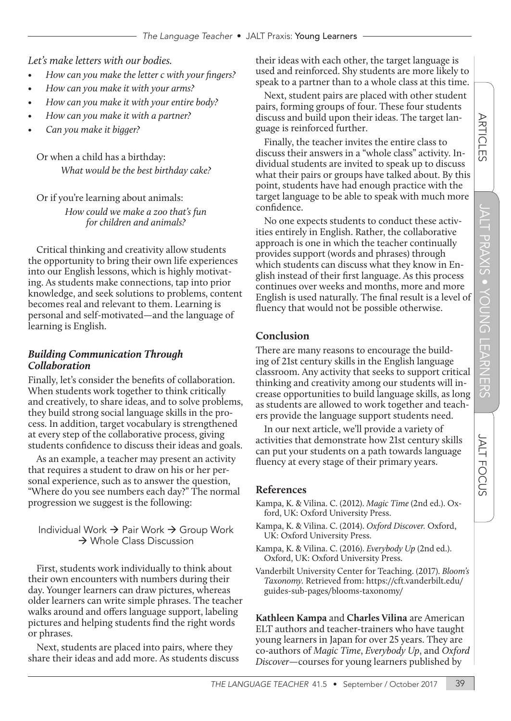*Let's make letters with our bodies.*

- *• How can you make the letter c with your fingers?*
- *• How can you make it with your arms?*
- *• How can you make it with your entire body?*
- *• How can you make it with a partner?*
- *• Can you make it bigger?*

Or when a child has a birthday: *What would be the best birthday cake?* 

Or if you're learning about animals:

*How could we make a zoo that's fun for children and animals?*

Critical thinking and creativity allow students the opportunity to bring their own life experiences into our English lessons, which is highly motivating. As students make connections, tap into prior knowledge, and seek solutions to problems, content becomes real and relevant to them. Learning is personal and self-motivated—and the language of learning is English.

#### *Building Communication Through Collaboration*

Finally, let's consider the benefits of collaboration. When students work together to think critically and creatively, to share ideas, and to solve problems, they build strong social language skills in the process. In addition, target vocabulary is strengthened at every step of the collaborative process, giving students confidence to discuss their ideas and goals.

As an example, a teacher may present an activity that requires a student to draw on his or her personal experience, such as to answer the question, "Where do you see numbers each day?" The normal progression we suggest is the following:

Individual Work  $\rightarrow$  Pair Work  $\rightarrow$  Group Work  $\rightarrow$  Whole Class Discussion

First, students work individually to think about their own encounters with numbers during their day. Younger learners can draw pictures, whereas older learners can write simple phrases. The teacher walks around and offers language support, labeling pictures and helping students find the right words or phrases.

Next, students are placed into pairs, where they share their ideas and add more. As students discuss their ideas with each other, the target language is used and reinforced. Shy students are more likely to speak to a partner than to a whole class at this time.

Next, student pairs are placed with other student pairs, forming groups of four. These four students discuss and build upon their ideas. The target language is reinforced further.

Finally, the teacher invites the entire class to discuss their answers in a "whole class" activity. Individual students are invited to speak up to discuss what their pairs or groups have talked about. By this point, students have had enough practice with the target language to be able to speak with much more confidence.

No one expects students to conduct these activities entirely in English. Rather, the collaborative approach is one in which the teacher continually provides support (words and phrases) through which students can discuss what they know in English instead of their first language. As this process continues over weeks and months, more and more English is used naturally. The final result is a level of fluency that would not be possible otherwise.

#### **Conclusion**

There are many reasons to encourage the building of 21st century skills in the English language classroom. Any activity that seeks to support critical thinking and creativity among our students will increase opportunities to build language skills, as long as students are allowed to work together and teachers provide the language support students need.

In our next article, we'll provide a variety of activities that demonstrate how 21st century skills can put your students on a path towards language fluency at every stage of their primary years.

#### **References**

- Kampa, K. & Vilina. C. (2012). *Magic Time* (2nd ed.). Oxford, UK: Oxford University Press.
- Kampa, K. & Vilina. C. (2014). *Oxford Discover.* Oxford, UK: Oxford University Press.
- Kampa, K. & Vilina. C. (2016). *Everybody Up* (2nd ed.). Oxford, UK: Oxford University Press.
- Vanderbilt University Center for Teaching. (2017). *Bloom's Taxonomy.* Retrieved from: [https://cft.vanderbilt.edu/](https://cft.vanderbilt.edu/guides-sub-pages/blooms-taxonomy/) [guides-sub-pages/blooms-taxonomy/](https://cft.vanderbilt.edu/guides-sub-pages/blooms-taxonomy/)

**Kathleen Kampa** and **Charles Vilina** are American ELT authors and teacher-trainers who have taught young learners in Japan for over 25 years. They are co-authors of *Magic Time*, *Everybody Up*, and *Oxford Discover*—courses for young learners published by